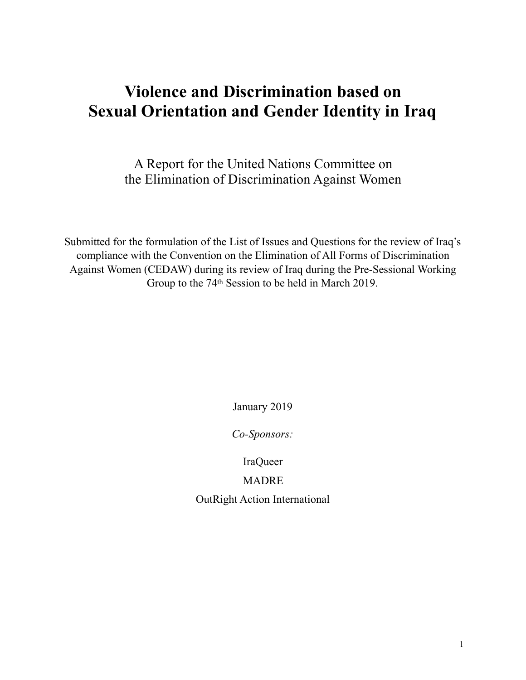# **Violence and Discrimination based on Sexual Orientation and Gender Identity in Iraq**

A Report for the United Nations Committee on the Elimination of Discrimination Against Women

Submitted for the formulation of the List of Issues and Questions for the review of Iraq's compliance with the Convention on the Elimination of All Forms of Discrimination Against Women (CEDAW) during its review of Iraq during the Pre-Sessional Working Group to the 74th Session to be held in March 2019.

January 2019

*Co-Sponsors:* 

IraQueer

MADRE

OutRight Action International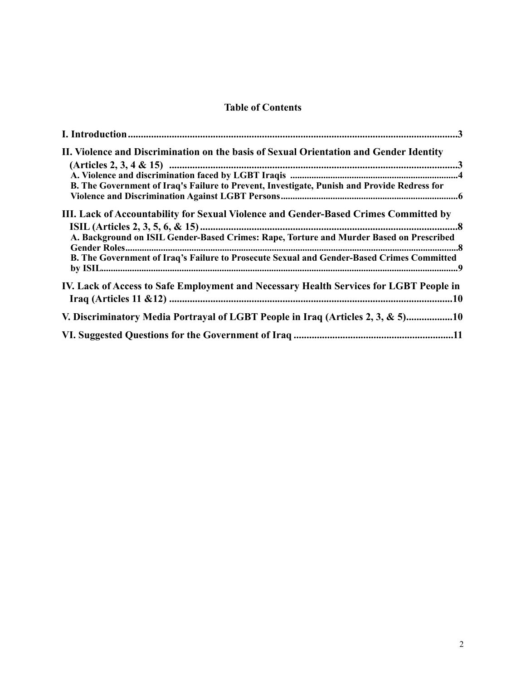# **Table of Contents**

| II. Violence and Discrimination on the basis of Sexual Orientation and Gender Identity<br>B. The Government of Iraq's Failure to Prevent, Investigate, Punish and Provide Redress for |
|---------------------------------------------------------------------------------------------------------------------------------------------------------------------------------------|
| III. Lack of Accountability for Sexual Violence and Gender-Based Crimes Committed by<br>A. Background on ISIL Gender-Based Crimes: Rape, Torture and Murder Based on Prescribed       |
| B. The Government of Iraq's Failure to Prosecute Sexual and Gender-Based Crimes Committed                                                                                             |
| IV. Lack of Access to Safe Employment and Necessary Health Services for LGBT People in                                                                                                |
| V. Discriminatory Media Portrayal of LGBT People in Iraq (Articles 2, 3, & 5)10                                                                                                       |
|                                                                                                                                                                                       |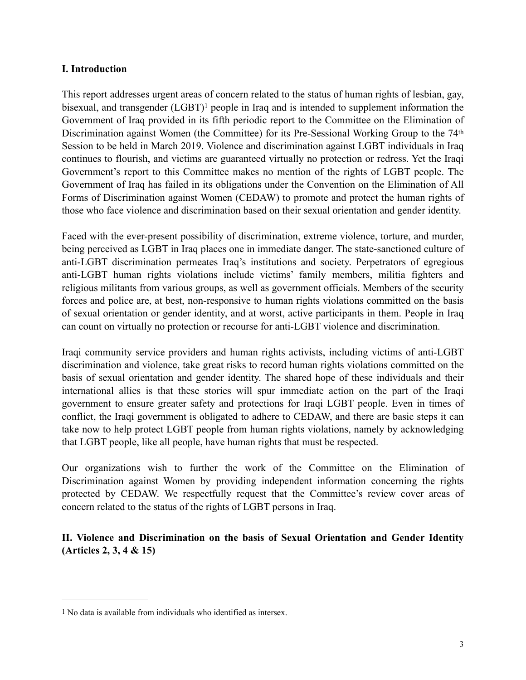### <span id="page-2-0"></span>**I. Introduction**

<span id="page-2-3"></span>This report addresses urgent areas of concern related to the status of human rights of lesbian, gay, bisexual, and transgender  $(LGBT)^1$  $(LGBT)^1$  $(LGBT)^1$  $(LGBT)^1$  people in Iraq and is intended to supplement information the Government of Iraq provided in its fifth periodic report to the Committee on the Elimination of Discrimination against Women (the Committee) for its Pre-Sessional Working Group to the 74<sup>th</sup> Session to be held in March 2019. Violence and discrimination against LGBT individuals in Iraq continues to flourish, and victims are guaranteed virtually no protection or redress. Yet the Iraqi Government's report to this Committee makes no mention of the rights of LGBT people. The Government of Iraq has failed in its obligations under the Convention on the Elimination of All Forms of Discrimination against Women (CEDAW) to promote and protect the human rights of those who face violence and discrimination based on their sexual orientation and gender identity.

Faced with the ever-present possibility of discrimination, extreme violence, torture, and murder, being perceived as LGBT in Iraq places one in immediate danger. The state-sanctioned culture of anti-LGBT discrimination permeates Iraq's institutions and society. Perpetrators of egregious anti-LGBT human rights violations include victims' family members, militia fighters and religious militants from various groups, as well as government officials. Members of the security forces and police are, at best, non-responsive to human rights violations committed on the basis of sexual orientation or gender identity, and at worst, active participants in them. People in Iraq can count on virtually no protection or recourse for anti-LGBT violence and discrimination.

Iraqi community service providers and human rights activists, including victims of anti-LGBT discrimination and violence, take great risks to record human rights violations committed on the basis of sexual orientation and gender identity. The shared hope of these individuals and their international allies is that these stories will spur immediate action on the part of the Iraqi government to ensure greater safety and protections for Iraqi LGBT people. Even in times of conflict, the Iraqi government is obligated to adhere to CEDAW, and there are basic steps it can take now to help protect LGBT people from human rights violations, namely by acknowledging that LGBT people, like all people, have human rights that must be respected.

Our organizations wish to further the work of the Committee on the Elimination of Discrimination against Women by providing independent information concerning the rights protected by CEDAW. We respectfully request that the Committee's review cover areas of concern related to the status of the rights of LGBT persons in Iraq.

<span id="page-2-1"></span>**II. Violence and Discrimination on the basis of Sexual Orientation and Gender Identity (Articles 2, 3, 4 & 15)** 

<span id="page-2-2"></span>[<sup>1</sup>](#page-2-3) No data is available from individuals who identified as intersex.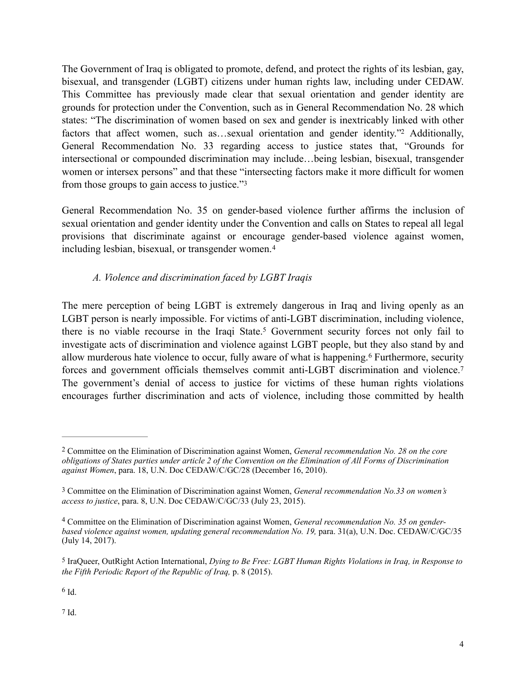The Government of Iraq is obligated to promote, defend, and protect the rights of its lesbian, gay, bisexual, and transgender (LGBT) citizens under human rights law, including under CEDAW. This Committee has previously made clear that sexual orientation and gender identity are grounds for protection under the Convention, such as in General Recommendation No. 28 which states: "The discrimination of women based on sex and gender is inextricably linked with other factors that affect women, such as...sexual orientation and gender identity.["](#page-3-1) Additionally, General Recommendation No. 33 regarding access to justice states that, "Grounds for intersectional or compounded discrimination may include…being lesbian, bisexual, transgender women or intersex persons" and that these "intersecting factors make it more difficult for women from those groups to gain access to justice."<sup>3</sup>

General Recommendation No. 35 on gender-based violence further affirms the inclusion of sexual orientation and gender identity under the Convention and calls on States to repeal all legal provisions that discriminate against or encourage gender-based violence against women, including lesbian, bisexual, or transgender women.[4](#page-3-3)

# <span id="page-3-12"></span><span id="page-3-11"></span><span id="page-3-10"></span><span id="page-3-9"></span><span id="page-3-8"></span><span id="page-3-7"></span><span id="page-3-0"></span>*A. Violence and discrimination faced by LGBT Iraqis*

The mere perception of being LGBT is extremely dangerous in Iraq and living openly as an LGBT person is nearly impossible. For victims of anti-LGBT discrimination, including violence, there is no viable recourse in the Iraqi State[.](#page-3-4)<sup>[5](#page-3-4)</sup> Government security forces not only fail to investigate acts of discrimination and violence against LGBT people, but they also stand by and allowmurderous hate violence to occur, fully aware of what is happening.<sup>[6](#page-3-5)</sup> Furthermore, security forces and government officials themselves commit anti-LGBT discrimination and violence.[7](#page-3-6) The government's denial of access to justice for victims of these human rights violations encourages further discrimination and acts of violence, including those committed by health

<span id="page-3-6"></span>[7](#page-3-12) Id.

<span id="page-3-1"></span>Committee on the Elimination of Discrimination against Women, *General recommendation No. 28 on the core* [2](#page-3-7) *obligations of States parties under article 2 of the Convention on the Elimination of All Forms of Discrimination against Women*, para. 18, U.N. Doc CEDAW/C/GC/28 (December 16, 2010).

<span id="page-3-2"></span>[<sup>3</sup>](#page-3-8) Committee on the Elimination of Discrimination against Women, *General recommendation No.33 on women's access to justice*, para. 8, U.N. Doc CEDAW/C/GC/33 (July 23, 2015).

<span id="page-3-3"></span>Committee on the Elimination of Discrimination against Women, *General recommendation No. 35 on gender-* [4](#page-3-9) *based violence against women, updating general recommendation No. 19,* para. 31(a), U.N. Doc. CEDAW/C/GC/35 (July 14, 2017).

<span id="page-3-4"></span>[<sup>5</sup>](#page-3-10) IraQueer, OutRight Action International, *Dying to Be Free: LGBT Human Rights Violations in Iraq, in Response to the Fifth Periodic Report of the Republic of Iraq,* p. 8 (2015).

<span id="page-3-5"></span> $6$  Id.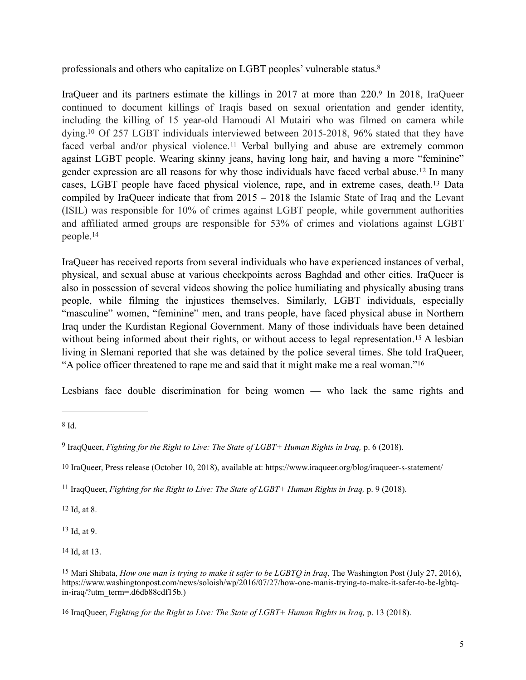<span id="page-4-9"></span>professionals and others who capitalize on LGBT peoples' vulnerable status[.8](#page-4-0)

<span id="page-4-13"></span><span id="page-4-12"></span><span id="page-4-11"></span><span id="page-4-10"></span>IraQueer and its partners estimate the killings in 2017 at more than 220[.](#page-4-1)[9](#page-4-1) In 2018, IraQueer continued to document killings of Iraqis based on sexual orientation and gender identity, including the killing of 15 year-old Hamoudi Al Mutairi who was filmed on camera while dying[.](#page-4-2)<sup>[10](#page-4-2)</sup> Of 257 LGBT individuals interviewed between 2015-2018, 96% stated that they have faced verbal and/or physical violence.<sup>[11](#page-4-3)</sup> Verbal bullying and abuse are extremely common against LGBT people. Wearing skinny jeans, having long hair, and having a more "feminine" genderexpression are all reasons for why those individuals have faced verbal abuse.<sup>[12](#page-4-4)</sup> In many cases, LGBT people have faced physical violence, rape, and in extreme cases, death[.](#page-4-5)<sup>[13](#page-4-5)</sup> Data compiled by IraQueer indicate that from 2015 – 2018 the Islamic State of Iraq and the Levant (ISIL) was responsible for 10% of crimes against LGBT people, while government authorities and affiliated armed groups are responsible for 53% of crimes and violations against LGBT people. [14](#page-4-6)

<span id="page-4-15"></span><span id="page-4-14"></span>IraQueer has received reports from several individuals who have experienced instances of verbal, physical, and sexual abuse at various checkpoints across Baghdad and other cities. IraQueer is also in possession of several videos showing the police humiliating and physically abusing trans people, while filming the injustices themselves. Similarly, LGBT individuals, especially "masculine" women, "feminine" men, and trans people, have faced physical abuse in Northern Iraq under the Kurdistan Regional Government. Many of those individuals have been detained withoutbeing informed about their rights, or without access to legal representation.<sup>[15](#page-4-7)</sup> A lesbian living in Slemani reported that she was detained by the police several times. She told IraQueer, "A police officer threatened to rape me and said that it might make me a real woman." [16](#page-4-8)

<span id="page-4-17"></span><span id="page-4-16"></span>Lesbians face double discrimination for being women — who lack the same rights and

<span id="page-4-4"></span>[12](#page-4-13) Id, at 8.

<span id="page-4-5"></span> $13$  Id. at 9.

<span id="page-4-6"></span>[14](#page-4-15) Id, at 13.

<span id="page-4-0"></span>[<sup>8</sup>](#page-4-9) Id.

<span id="page-4-1"></span><sup>&</sup>lt;sup>[9](#page-4-10)</sup> IraqQueer, *Fighting for the Right to Live: The State of LGBT+ Human Rights in Iraq, p.* 6 (2018).

<span id="page-4-2"></span>[<sup>10</sup>](#page-4-11) IraQueer, Press release (October 10, 2018), available at: https://www.iraqueer.org/blog/iraqueer-s-statement/

<span id="page-4-3"></span><sup>&</sup>lt;sup>[11](#page-4-12)</sup> IraqQueer, *Fighting for the Right to Live: The State of LGBT+ Human Rights in Iraq, p.* 9 (2018).

<span id="page-4-7"></span><sup>&</sup>lt;sup>[15](#page-4-16)</sup> Mari Shibata, *How one man is trying to make it safer to be LGBTQ in Iraq*, The Washington Post (July 27, 2016), https://www.washingtonpost.com/news/soloish/wp/2016/07/27/how-one-manis-trying-to-make-it-safer-to-be-lgbtqin-iraq/?utm\_term=.d6db88cdf15b.)

<span id="page-4-8"></span>[<sup>16</sup>](#page-4-17) IraqQueer, *Fighting for the Right to Live: The State of LGBT+ Human Rights in Iraq,* p. 13 (2018).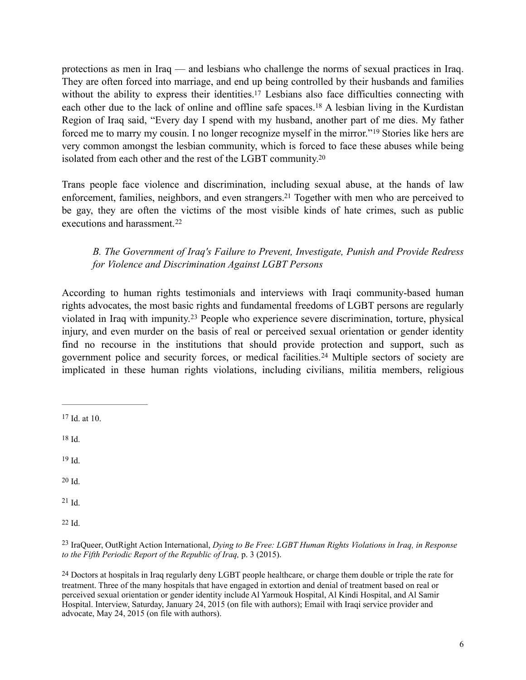<span id="page-5-10"></span><span id="page-5-9"></span>protections as men in Iraq — and lesbians who challenge the norms of sexual practices in Iraq. They are often forced into marriage, and end up being controlled by their husbands and families without the ability to express their identities[.](#page-5-1)<sup>[17](#page-5-1)</sup> Lesbians also face difficulties connecting with each other due to the lack of online and offline safe spaces[.](#page-5-2)<sup>[18](#page-5-2)</sup> A lesbian living in the Kurdistan Region of Iraq said, "Every day I spend with my husband, another part of me dies. My father forcedme to marry my cousin. I no longer recognize myself in the mirror."<sup>[19](#page-5-3)</sup> Stories like hers are very common amongst the lesbian community, which is forced to face these abuses while being isolated from each other and the rest of the LGBT community[.20](#page-5-4)

Trans people face violence and discrimination, including sexual abuse, at the hands of law enforcement, families, neighbors, and even strangers[.](#page-5-5)<sup>[21](#page-5-5)</sup> Together with men who are perceived to be gay, they are often the victims of the most visible kinds of hate crimes, such as public executions and harassment.<sup>[22](#page-5-6)</sup>

# <span id="page-5-16"></span><span id="page-5-15"></span><span id="page-5-14"></span><span id="page-5-13"></span><span id="page-5-12"></span><span id="page-5-11"></span><span id="page-5-0"></span>*B. The Government of Iraq's Failure to Prevent, Investigate, Punish and Provide Redress for Violence and Discrimination Against LGBT Persons*

According to human rights testimonials and interviews with Iraqi community-based human rights advocates, the most basic rights and fundamental freedoms of LGBT persons are regularly violatedin Iraq with impunity.<sup>[23](#page-5-7)</sup> People who experience severe discrimination, torture, physical injury, and even murder on the basis of real or perceived sexual orientation or gender identity find no recourse in the institutions that should provide protection and support, such as governmentpolice and security forces, or medical facilities.<sup>[24](#page-5-8)</sup> Multiple sectors of society are implicated in these human rights violations, including civilians, militia members, religious

- <span id="page-5-3"></span> $19$  Id.
- <span id="page-5-4"></span>[20](#page-5-12) Id.

<span id="page-5-5"></span> $21$  Id.

<span id="page-5-6"></span>[22](#page-5-14) Id.

<span id="page-5-8"></span>[24](#page-5-16) Doctors at hospitals in Iraq regularly deny LGBT people healthcare, or charge them double or triple the rate for treatment. Three of the many hospitals that have engaged in extortion and denial of treatment based on real or perceived sexual orientation or gender identity include Al Yarmouk Hospital, Al Kindi Hospital, and Al Samir Hospital. Interview, Saturday, January 24, 2015 (on file with authors); Email with Iraqi service provider and advocate, May 24, 2015 (on file with authors).

<span id="page-5-1"></span> $17$  Id. at 10.

<span id="page-5-2"></span>[<sup>18</sup>](#page-5-10) Id.

<span id="page-5-7"></span>IraQueer, OutRight Action International, *Dying to Be Free: LGBT Human Rights Violations in Iraq, in Response* [23](#page-5-15) *to the Fifth Periodic Report of the Republic of Iraq,* p. 3 (2015).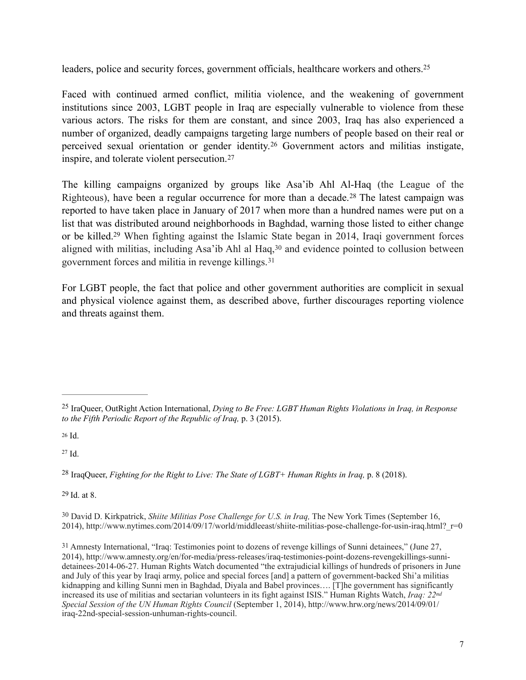<span id="page-6-7"></span>leaders, police and security forces, government officials, healthcare workers and others.<sup>25</sup>

Faced with continued armed conflict, militia violence, and the weakening of government institutions since 2003, LGBT people in Iraq are especially vulnerable to violence from these various actors. The risks for them are constant, and since 2003, Iraq has also experienced a number of organized, deadly campaigns targeting large numbers of people based on their real or perceivedsexual orientation or gender identity.<sup>[26](#page-6-1)</sup> Government actors and militias instigate, inspire, and tolerate violent persecution. [27](#page-6-2)

<span id="page-6-11"></span><span id="page-6-10"></span><span id="page-6-9"></span><span id="page-6-8"></span>The killing campaigns organized by groups like Asa'ib Ahl Al-Haq (the League of the Righteous),have been a regular occurrence for more than a decade.<sup>[28](#page-6-3)</sup> The latest campaign was reported to have taken place in January of 2017 when more than a hundred names were put on a list that was distributed around neighborhoods in Baghdad, warning those listed to either change or be killed.<sup>[29](#page-6-4)</sup> When fighting against the Islamic State began in 2014, Iraqi government forces alignedwith militias, including Asa'ib Ahl al Haq, $30$  and evidence pointed to collusion between government forces and militia in revenge killings. [31](#page-6-6)

<span id="page-6-13"></span><span id="page-6-12"></span>For LGBT people, the fact that police and other government authorities are complicit in sexual and physical violence against them, as described above, further discourages reporting violence and threats against them.

<span id="page-6-2"></span> $27$  Id.

<span id="page-6-3"></span><sup>[28](#page-6-10)</sup> IraqQueer, *Fighting for the Right to Live: The State of LGBT+ Human Rights in Iraq, p. 8 (2018).* 

<span id="page-6-4"></span>[29](#page-6-11) Id. at 8.

<span id="page-6-5"></span><sup>[30](#page-6-12)</sup> David D. Kirkpatrick, *Shiite Militias Pose Challenge for U.S. in Iraq*, The New York Times (September 16, 2014), http://www.nytimes.com/2014/09/17/world/middleeast/shiite-militias-pose-challenge-for-usin-iraq.html?  $r=0$ 

<span id="page-6-6"></span>[31](#page-6-13) Amnesty International, "Iraq: Testimonies point to dozens of revenge killings of Sunni detainees," (June 27, 2014), http://www.amnesty.org/en/for-media/press-releases/iraq-testimonies-point-dozens-revengekillings-sunnidetainees-2014-06-27. Human Rights Watch documented "the extrajudicial killings of hundreds of prisoners in June and July of this year by Iraqi army, police and special forces [and] a pattern of government-backed Shi'a militias kidnapping and killing Sunni men in Baghdad, Diyala and Babel provinces…. [T]he government has significantly increased its use of militias and sectarian volunteers in its fight against ISIS." Human Rights Watch, *Iraq: 22nd Special Session of the UN Human Rights Council* (September 1, 2014), http://www.hrw.org/news/2014/09/01/ iraq-22nd-special-session-unhuman-rights-council.

<span id="page-6-0"></span><sup>&</sup>lt;sup>[25](#page-6-7)</sup> IraQueer, OutRight Action International, *Dying to Be Free: LGBT Human Rights Violations in Iraq, in Response to the Fifth Periodic Report of the Republic of Iraq,* p. 3 (2015).

<span id="page-6-1"></span> $26$  Id.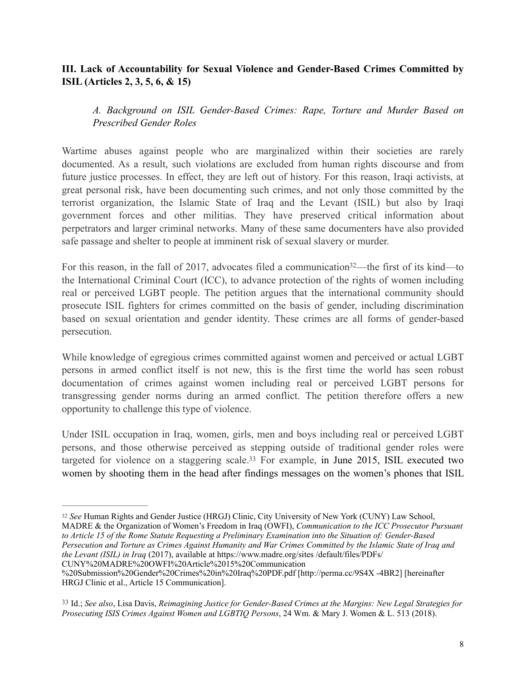# <span id="page-7-0"></span>**III. Lack of Accountability for Sexual Violence and Gender-Based Crimes Committed by ISIL (Articles 2, 3, 5, 6, & 15)**

## <span id="page-7-1"></span>*A. Background on ISIL Gender-Based Crimes: Rape, Torture and Murder Based on Prescribed Gender Roles*

Wartime abuses against people who are marginalized within their societies are rarely documented. As a result, such violations are excluded from human rights discourse and from future justice processes. In effect, they are left out of history. For this reason, Iraqi activists, at great personal risk, have been documenting such crimes, and not only those committed by the terrorist organization, the Islamic State of Iraq and the Levant (ISIL) but also by Iraqi government forces and other militias. They have preserved critical information about perpetrators and larger criminal networks. Many of these same documenters have also provided safe passage and shelter to people at imminent risk of sexual slavery or murder.

<span id="page-7-4"></span>For this reason, in the fall of 2017, advocates filed a communication  $32$ —the first of its kind—to the International Criminal Court (ICC), to advance protection of the rights of women including real or perceived LGBT people. The petition argues that the international community should prosecute ISIL fighters for crimes committed on the basis of gender, including discrimination based on sexual orientation and gender identity. These crimes are all forms of gender-based persecution.

While knowledge of egregious crimes committed against women and perceived or actual LGBT persons in armed conflict itself is not new, this is the first time the world has seen robust documentation of crimes against women including real or perceived LGBT persons for transgressing gender norms during an armed conflict. The petition therefore offers a new opportunity to challenge this type of violence.

<span id="page-7-5"></span>Under ISIL occupation in Iraq, women, girls, men and boys including real or perceived LGBT persons, and those otherwise perceived as stepping outside of traditional gender roles were targeted for violence on a staggering scale[.](#page-7-3)<sup>[33](#page-7-3)</sup> For example, in June 2015, ISIL executed two women by shooting them in the head after findings messages on the women's phones that ISIL

MADRE & the Organization of Women's Freedom in Iraq (OWFI), *Communication to the ICC Prosecutor Pursuant to Article 15 of the Rome Statute Requesting a Preliminary Examination into the Situation of: Gender-Based Persecution and Torture as Crimes Against Humanity and War Crimes Committed by the Islamic State of Iraq and the Levant (ISIL) in Iraq* (2017), available at https://www.madre.org/sites /default/files/PDFs/ CUNY%20MADRE%20OWFI%20Article%2015%20Communication

<span id="page-7-2"></span>*See* Human Rights and Gender Justice (HRGJ) Clinic, City University of New York (CUNY) Law School, [32](#page-7-4)

<sup>%20</sup>Submission%20Gender%20Crimes%20in%20Iraq%20PDF.pdf [http://perma.cc/9S4X -4BR2] [hereinafter HRGJ Clinic et al., Article 15 Communication].

<span id="page-7-3"></span>[<sup>33</sup>](#page-7-5) Id.; *See also*, Lisa Davis, *Reimagining Justice for Gender-Based Crimes at the Margins: New Legal Strategies for Prosecuting ISIS Crimes Against Women and LGBTIQ Persons*, 24 Wm. & Mary J. Women & L. 513 (2018).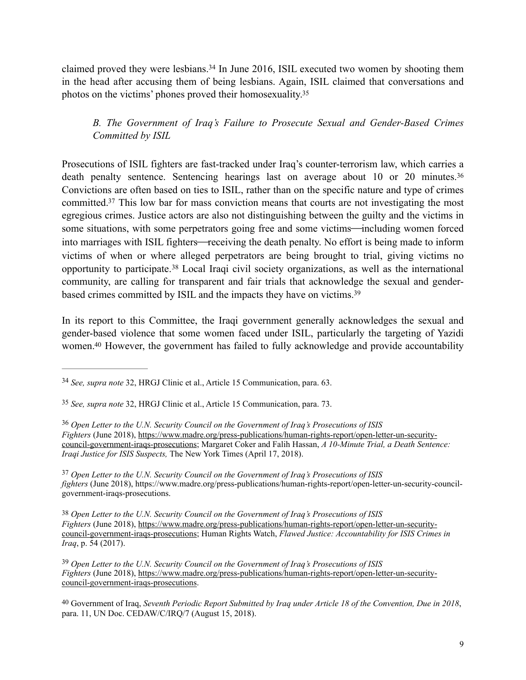claimed proved they were lesbians.<sup>[34](#page-8-1)</sup> In June 2016, ISIL executed two women by shooting them in the head after accusing them of being lesbians. Again, ISIL claimed that conversations and photos on the victims' phones proved their homosexuality[.35](#page-8-2)

# <span id="page-8-10"></span><span id="page-8-9"></span><span id="page-8-8"></span><span id="page-8-0"></span>*B. The Government of Iraq's Failure to Prosecute Sexual and Gender-Based Crimes Committed by ISIL*

<span id="page-8-11"></span>Prosecutions of ISIL fighters are fast-tracked under Iraq's counter-terrorism law, which carries a death penalty sentence. Sentencing hearings last on average about 10 or 20 minutes.<sup>[36](#page-8-3)</sup> Convictions are often based on ties to ISIL, rather than on the specific nature and type of crimes committed[.](#page-8-4)<sup>[37](#page-8-4)</sup> This low bar for mass conviction means that courts are not investigating the most egregious crimes. Justice actors are also not distinguishing between the guilty and the victims in some situations, with some perpetrators going free and some victims—including women forced into marriages with ISIL fighters—receiving the death penalty. No effort is being made to inform victims of when or where alleged perpetrators are being brought to trial, giving victims no opportunityto participate.<sup>[38](#page-8-5)</sup> Local Iraqi civil society organizations, as well as the international community, are calling for transparent and fair trials that acknowledge the sexual and genderbased crimes committed by ISIL and the impacts they have on victims[.](#page-8-6) [39](#page-8-6)

<span id="page-8-14"></span><span id="page-8-13"></span><span id="page-8-12"></span>In its report to this Committee, the Iraqi government generally acknowledges the sexual and gender-based violence that some women faced under ISIL, particularly the targeting of Yazidi women[.](#page-8-7)<sup>[40](#page-8-7)</sup> However, the government has failed to fully acknowledge and provide accountability

<span id="page-8-1"></span><sup>&</sup>lt;sup>[34](#page-8-8)</sup> See, supra note 32, HRGJ Clinic et al., Article 15 Communication, para. 63.

<span id="page-8-2"></span><sup>&</sup>lt;sup>[35](#page-8-9)</sup> See, *supra note* 32, HRGJ Clinic et al., Article 15 Communication, para. 73.

<span id="page-8-3"></span>*Open Letter to the U.N. Security Council on the Government of Iraq's Prosecutions of ISIS* [36](#page-8-10) *Fighters* (June 2018), [https://www.madre.org/press-publications/human-rights-report/open-letter-un-security](https://www.madre.org/press-publications/human-rights-report/open-letter-un-security-council-government-iraqs-prosecutions)[council-government-iraqs-prosecutions; Margaret Coker and Falih Hassan,](https://www.madre.org/press-publications/human-rights-report/open-letter-un-security-council-government-iraqs-prosecutions) *A 10-Minute Trial, a Death Sentence: Iraqi Justice for ISIS Suspects,* The New York Times (April 17, 2018).

<span id="page-8-4"></span><sup>&</sup>lt;sup>[37](#page-8-11)</sup> Open Letter to the U.N. Security Council on the Government of Iraq's Prosecutions of ISIS *fighters* (June 2018), https://www.madre.org/press-publications/human-rights-report/open-letter-un-security-councilgovernment-iraqs-prosecutions.

<span id="page-8-5"></span>[<sup>38</sup>](#page-8-12) *Open Letter to the U.N. Security Council on the Government of Iraq's Prosecutions of ISIS Fighters* (June 2018), [https://www.madre.org/press-publications/human-rights-report/open-letter-un-security](https://www.madre.org/press-publications/human-rights-report/open-letter-un-security-council-government-iraqs-prosecutions)[council-government-iraqs-prosecutions; Human Rights Watch,](https://www.madre.org/press-publications/human-rights-report/open-letter-un-security-council-government-iraqs-prosecutions) *Flawed Justice: Accountability for ISIS Crimes in Iraq*, p. 54 (2017).

<span id="page-8-6"></span>*Open Letter to the U.N. Security Council on the Government of Iraq's Prosecutions of ISIS* [39](#page-8-13) *Fighters* (June 2018), [https://www.madre.org/press-publications/human-rights-report/open-letter-un-security](https://www.madre.org/press-publications/human-rights-report/open-letter-un-security-council-government-iraqs-prosecutions)[council-government-iraqs-prosecutions.](https://www.madre.org/press-publications/human-rights-report/open-letter-un-security-council-government-iraqs-prosecutions)

<span id="page-8-7"></span>[<sup>40</sup>](#page-8-14) Government of Iraq, *Seventh Periodic Report Submitted by Iraq under Article 18 of the Convention, Due in 2018*, para. 11, UN Doc. CEDAW/C/IRQ/7 (August 15, 2018).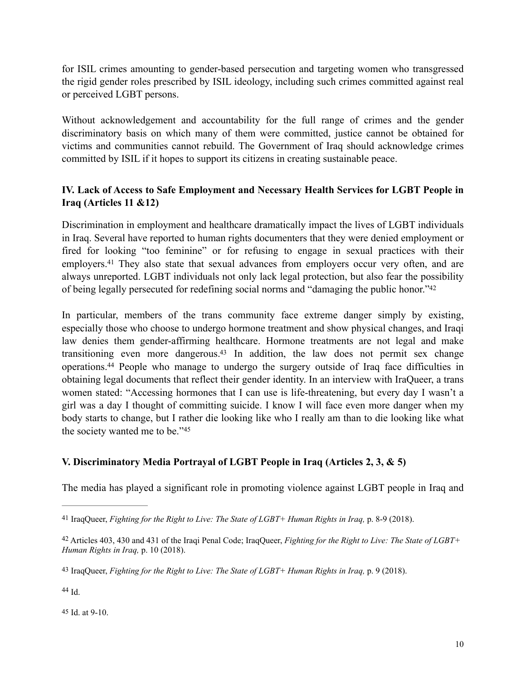for ISIL crimes amounting to gender-based persecution and targeting women who transgressed the rigid gender roles prescribed by ISIL ideology, including such crimes committed against real or perceived LGBT persons.

Without acknowledgement and accountability for the full range of crimes and the gender discriminatory basis on which many of them were committed, justice cannot be obtained for victims and communities cannot rebuild. The Government of Iraq should acknowledge crimes committed by ISIL if it hopes to support its citizens in creating sustainable peace.

# <span id="page-9-0"></span>**IV. Lack of Access to Safe Employment and Necessary Health Services for LGBT People in Iraq (Articles 11 &12)**

<span id="page-9-7"></span>Discrimination in employment and healthcare dramatically impact the lives of LGBT individuals in Iraq. Several have reported to human rights documenters that they were denied employment or fired for looking "too feminine" or for refusing to engage in sexual practices with their employers.<sup>41</sup>They also state that sexual advances from employers occur very often, and are always unreported. LGBT individuals not only lack legal protection, but also fear the possibility of being legally persecuted for redefining social norms and "damaging the public honor.["](#page-9-3) [42](#page-9-3)

<span id="page-9-10"></span><span id="page-9-9"></span><span id="page-9-8"></span>In particular, members of the trans community face extreme danger simply by existing, especially those who choose to undergo hormone treatment and show physical changes, and Iraqi law denies them gender-affirming healthcare. Hormone treatments are not legal and make transitioning even more dangerous[.](#page-9-4)<sup>[43](#page-9-4)</sup> In addition, the law does not permit sex change operations.<sup>44</sup>People who manage to undergo the surgery outside of Iraq face difficulties in obtaining legal documents that reflect their gender identity. In an interview with IraQueer, a trans women stated: "Accessing hormones that I can use is life-threatening, but every day I wasn't a girl was a day I thought of committing suicide. I know I will face even more danger when my body starts to change, but I rather die looking like who I really am than to die looking like what the society wanted me to be."45

#### <span id="page-9-11"></span><span id="page-9-1"></span>**V. Discriminatory Media Portrayal of LGBT People in Iraq (Articles 2, 3, & 5)**

The media has played a significant role in promoting violence against LGBT people in Iraq and

<span id="page-9-6"></span>[45](#page-9-11) Id. at 9-10.

<span id="page-9-2"></span>[<sup>41</sup>](#page-9-7) IraqQueer, *Fighting for the Right to Live: The State of LGBT+ Human Rights in Iraq,* p. 8-9 (2018).

<span id="page-9-3"></span>Articles 403, 430 and 431 of the Iraqi Penal Code; IraqQueer, *Fighting for the Right to Live: The State of LGBT+* [42](#page-9-8) *Human Rights in Iraq,* p. 10 (2018).

<span id="page-9-4"></span>[<sup>43</sup>](#page-9-9) IraqQueer, *Fighting for the Right to Live: The State of LGBT+ Human Rights in Iraq,* p. 9 (2018).

<span id="page-9-5"></span> $44$  Id.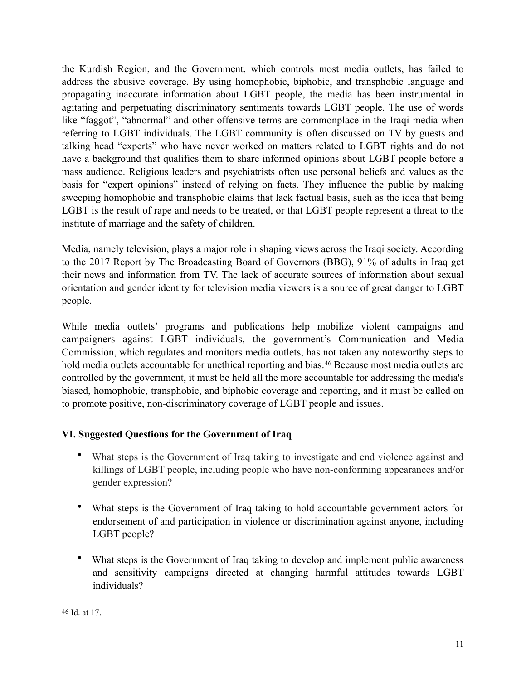the Kurdish Region, and the Government, which controls most media outlets, has failed to address the abusive coverage. By using homophobic, biphobic, and transphobic language and propagating inaccurate information about LGBT people, the media has been instrumental in agitating and perpetuating discriminatory sentiments towards LGBT people. The use of words like "faggot", "abnormal" and other offensive terms are commonplace in the Iraqi media when referring to LGBT individuals. The LGBT community is often discussed on TV by guests and talking head "experts" who have never worked on matters related to LGBT rights and do not have a background that qualifies them to share informed opinions about LGBT people before a mass audience. Religious leaders and psychiatrists often use personal beliefs and values as the basis for "expert opinions" instead of relying on facts. They influence the public by making sweeping homophobic and transphobic claims that lack factual basis, such as the idea that being LGBT is the result of rape and needs to be treated, or that LGBT people represent a threat to the institute of marriage and the safety of children.

Media, namely television, plays a major role in shaping views across the Iraqi society. According to the 2017 Report by The Broadcasting Board of Governors (BBG), 91% of adults in Iraq get their news and information from TV. The lack of accurate sources of information about sexual orientation and gender identity for television media viewers is a source of great danger to LGBT people.

While media outlets' programs and publications help mobilize violent campaigns and campaigners against LGBT individuals, the government's Communication and Media Commission, which regulates and monitors media outlets, has not taken any noteworthy steps to holdmedia outlets accountable for unethical reporting and bias.<sup>[46](#page-10-1)</sup> Because most media outlets are controlled by the government, it must be held all the more accountable for addressing the media's biased, homophobic, transphobic, and biphobic coverage and reporting, and it must be called on to promote positive, non-discriminatory coverage of LGBT people and issues.

# <span id="page-10-0"></span>**VI. Suggested Questions for the Government of Iraq**

- <span id="page-10-2"></span>• What steps is the Government of Iraq taking to investigate and end violence against and killings of LGBT people, including people who have non-conforming appearances and/or gender expression?
- What steps is the Government of Iraq taking to hold accountable government actors for endorsement of and participation in violence or discrimination against anyone, including LGBT people?
- What steps is the Government of Iraq taking to develop and implement public awareness and sensitivity campaigns directed at changing harmful attitudes towards LGBT individuals?

<span id="page-10-1"></span>[<sup>46</sup>](#page-10-2) Id. at 17.